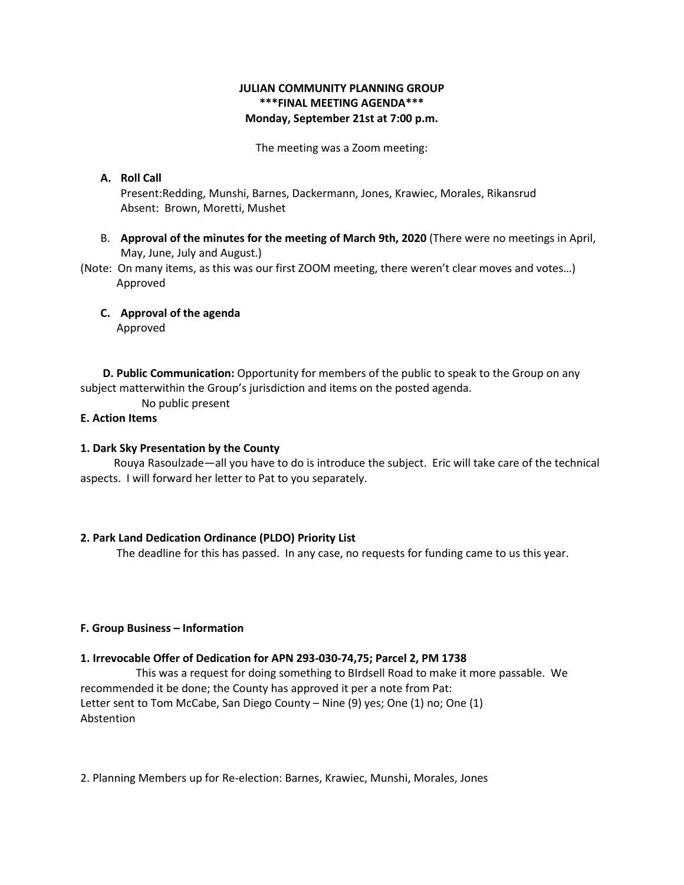# **JULIAN COMMUNITY PLANNING GROUP \*\*\*FINAL MEETING AGENDA\*\*\* Monday, September 21st at 7:00 p.m.**

The meeting was a Zoom meeting:

# **A. Roll Call** Present:Redding, Munshi, Barnes, Dackermann, Jones, Krawiec, Morales, Rikansrud Absent: Brown, Moretti, Mushet

B. **Approval of the minutes for the meeting of March 9th, 2020** (There were no meetings in April, May, June, July and August.)

(Note: On many items, as this was our first ZOOM meeting, there weren't clear moves and votes…) Approved

**C. Approval of the agenda** Approved

 **D. Public Communication:** Opportunity for members of the public to speak to the Group on any subject matterwithin the Group's jurisdiction and items on the posted agenda.

No public present

# **E. Action Items**

## **1. Dark Sky Presentation by the County**

 Rouya Rasoulzade—all you have to do is introduce the subject. Eric will take care of the technical aspects. I will forward her letter to Pat to you separately.

### **2. Park Land Dedication Ordinance (PLDO) Priority List**

The deadline for this has passed. In any case, no requests for funding came to us this year.

# **F. Group Business – Information**

### **1. Irrevocable Offer of Dedication for APN 293-030-74,75; Parcel 2, PM 1738**

 This was a request for doing something to BIrdsell Road to make it more passable. We recommended it be done; the County has approved it per a note from Pat: Letter sent to Tom McCabe, San Diego County – Nine (9) yes; One (1) no; One (1) Abstention

2. Planning Members up for Re-election: Barnes, Krawiec, Munshi, Morales, Jones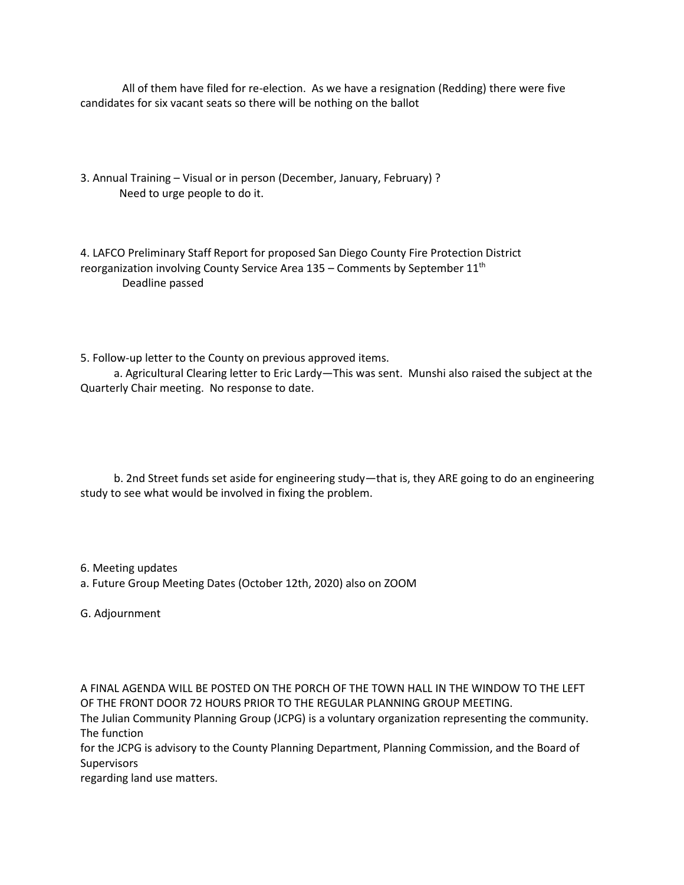All of them have filed for re-election. As we have a resignation (Redding) there were five candidates for six vacant seats so there will be nothing on the ballot

3. Annual Training – Visual or in person (December, January, February) ? Need to urge people to do it.

4. LAFCO Preliminary Staff Report for proposed San Diego County Fire Protection District reorganization involving County Service Area 135 – Comments by September 11<sup>th</sup> Deadline passed

5. Follow-up letter to the County on previous approved items.

 a. Agricultural Clearing letter to Eric Lardy—This was sent. Munshi also raised the subject at the Quarterly Chair meeting. No response to date.

 b. 2nd Street funds set aside for engineering study—that is, they ARE going to do an engineering study to see what would be involved in fixing the problem.

6. Meeting updates

a. Future Group Meeting Dates (October 12th, 2020) also on ZOOM

G. Adjournment

A FINAL AGENDA WILL BE POSTED ON THE PORCH OF THE TOWN HALL IN THE WINDOW TO THE LEFT OF THE FRONT DOOR 72 HOURS PRIOR TO THE REGULAR PLANNING GROUP MEETING.

The Julian Community Planning Group (JCPG) is a voluntary organization representing the community. The function

for the JCPG is advisory to the County Planning Department, Planning Commission, and the Board of **Supervisors** 

regarding land use matters.